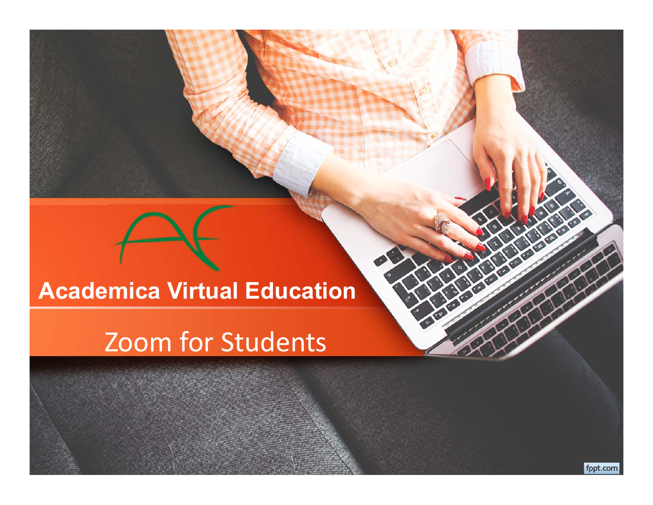#### **Academica Virtual Education**

#### Zoom for Students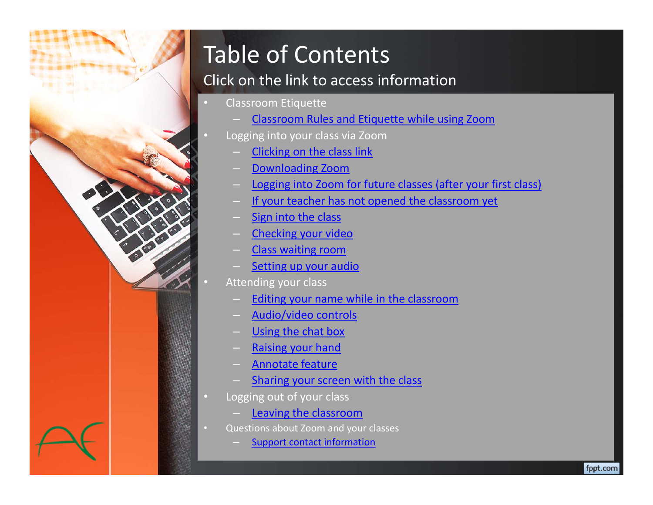

## Table of Contents

#### Click on the link to access information

Classroom Etiquette

•

 $\Box$ 

•

•

- Classroom Rules and Etiquette while using Zoom
- Logging into your class via Zoom
	- Clicking on the class link
	- Downloading Zoom
	- Logging into Zoom for future classes (after your first class)
	- If your teacher has not opened the classroom yet
	- Sign into the class
	- Checking your video
	- Class waiting room
	- Setting up your audio
- Attending your class
	- Editing your name while in the classroom
	- Audio/video controls
	- Using the chat box
	- Raising your hand
	- Annotate feature
	- Sharing your screen with the class
- $\Box$  Logging out of your class
	- Leaving the classroom
- Questions about Zoom and your classes
	- Support contact information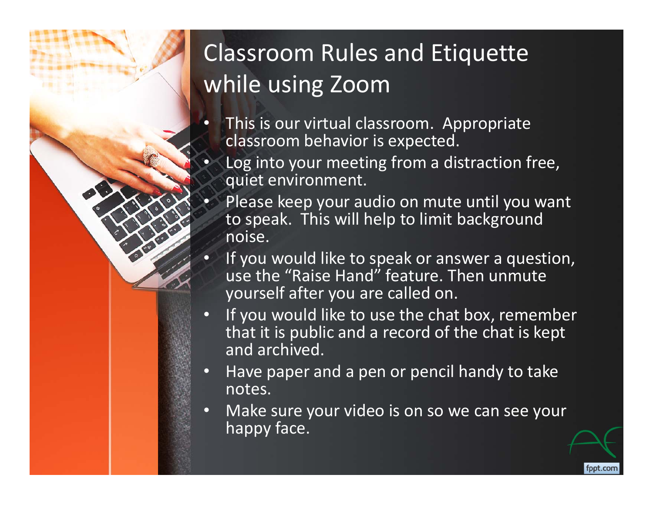## Classroom Rules and Etiquette while using Zoom

 $\bullet$  This is our virtual classroom. Appropriate classroom behavior is expected.

 $\bullet$ 

- Log into your meeting from a distraction free, quiet environment.
- • Please keep your audio on mute until you want to speak. This will help to limit background noise.
- $\bullet$ If you would like to speak or answer a question, use the "Raise Hand" feature. Then unmute yourself after you are called on.
- $\mathbf \bullet$  If you would like to use the chat box, remember that it is public and a record of the chat is kept and archived.
- $\mathbf G$  Have paper and a pen or pencil handy to take notes.
- $\mathbf \Omega$  Make sure your video is on so we can see your happy face.

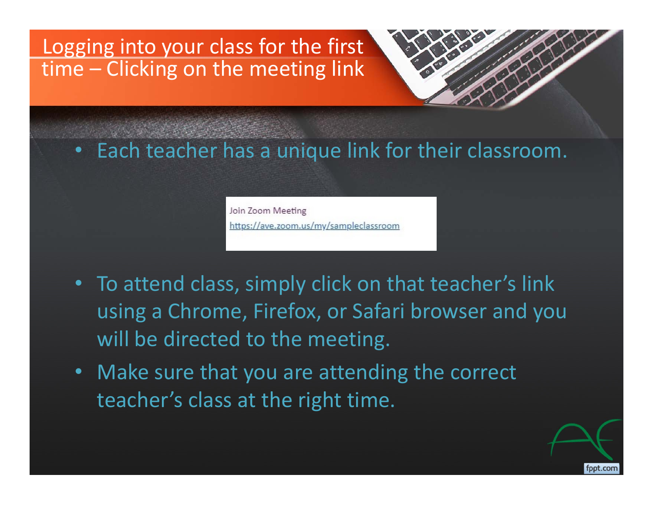#### Logging into your class for the first time – Clicking on the meeting link

#### •Each teacher has a unique link for their classroom.

Join Zoom Meeting https://ave.zoom.us/my/sampleclassroom

- To attend class, simply click on that teacher's link using a Chrome, Firefox, or Safari browser and you will be directed to the meeting.
- Make sure that you are attending the correct teacher's class at the right time.

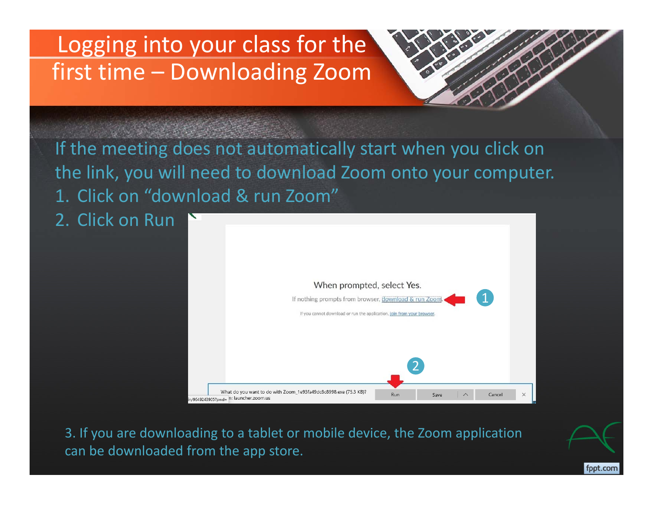### Logging into your class for the first time – Downloading Zoom

If the meeting does not automatically start when you click on the link, you will need to download Zoom onto your computer. 1. Click on "download & run Zoom"

2. Click on Run



fppt.com

3. If you are downloading to a tablet or mobile device, the Zoom application can be downloaded from the app store.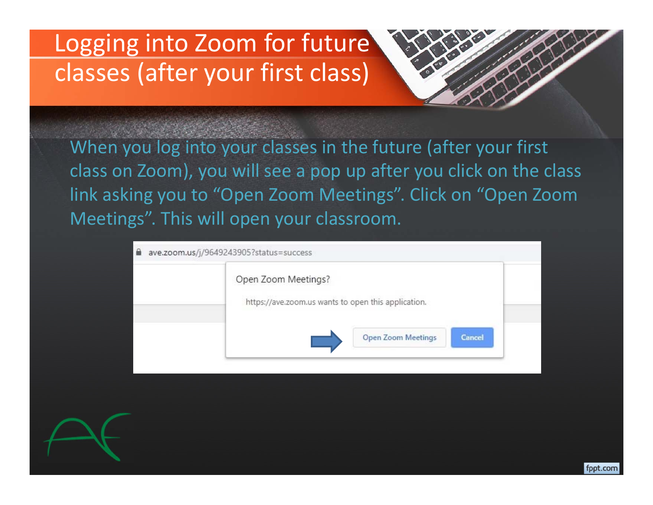## Logging into Zoom for future classes (after your first class)

When you log into your classes in the future (after your first class on Zoom), you will see a pop up after you click on the class link asking you to "Open Zoom Meetings". Click on "Open Zoom Meetings". This will open your classroom.

| Open Zoom Meetings?                                 |  |
|-----------------------------------------------------|--|
| https://ave.zoom.us wants to open this application. |  |
| <b>Open Zoom Meetings</b><br>Cancel                 |  |

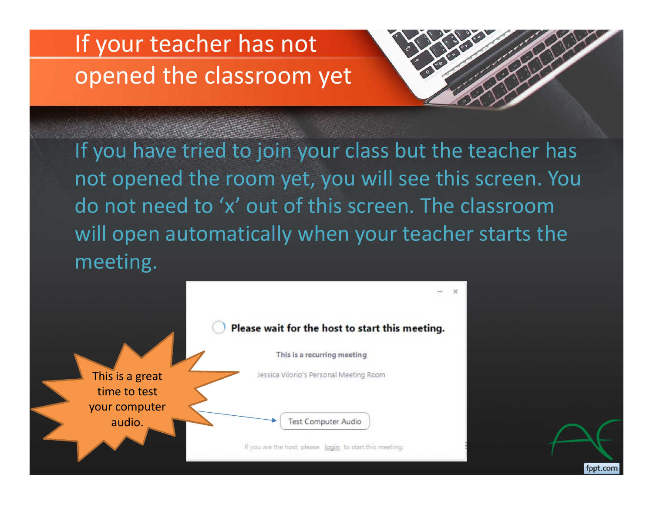## If your teacher has not opened the classroom yet



fppt.com

If you have tried to join your class but the teacher has not opened the room yet, you will see this screen. You do not need to 'x' out of this screen. The classroom will open automatically when your teacher starts the meeting.

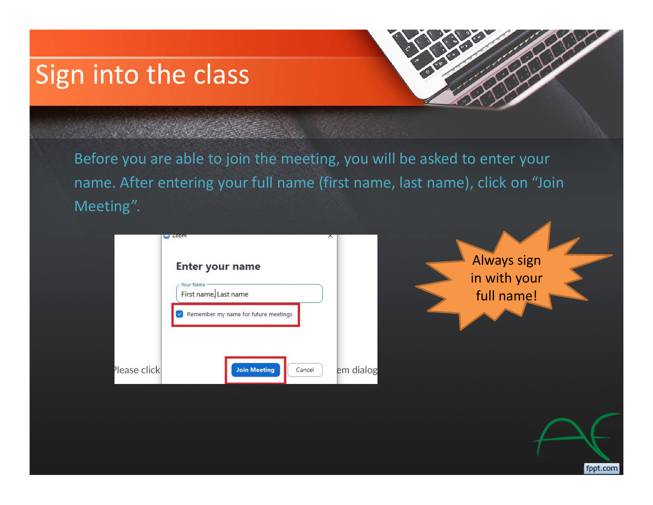## Sign into the class

Before you are able to join the meeting, you will be asked to enter your name. After entering your full name (first name, last name), click on "Join Meeting".



Always sign in with your full name!

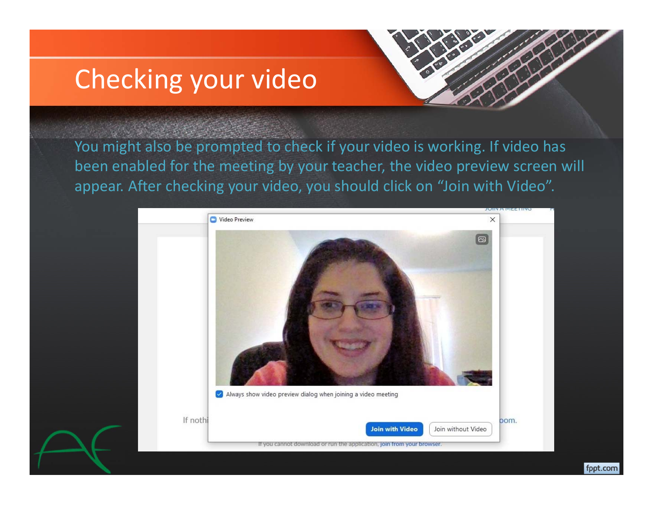## Checking your video



fppt.com

You might also be prompted to check if your video is working. If video has been enabled for the meeting by your teacher, the video preview screen will appear. After checking your video, you should click on "Join with Video".

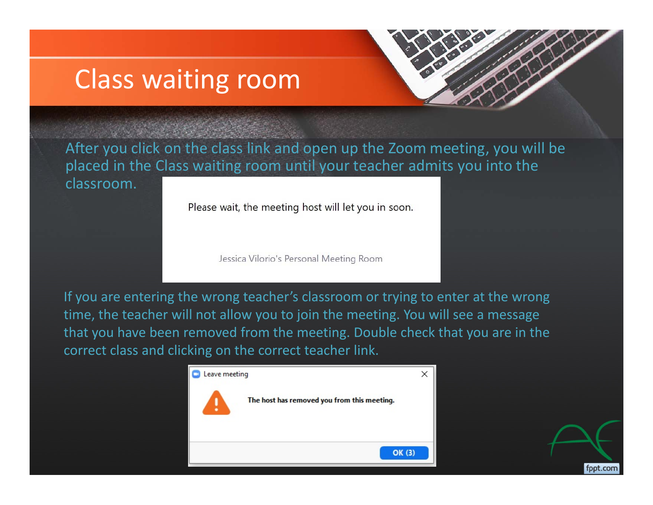## Class waiting room



After you click on the class link and open up the Zoom meeting, you will be placed in the Class waiting room until your teacher admits you into the classroom.

Please wait, the meeting host will let you in soon.

Jessica Vilorio's Personal Meeting Room

If you are entering the wrong teacher's classroom or trying to enter at the wrong time, the teacher will not allow you to join the meeting. You will see a message that you have been removed from the meeting. Double check that you are in the correct class and clicking on the correct teacher link.

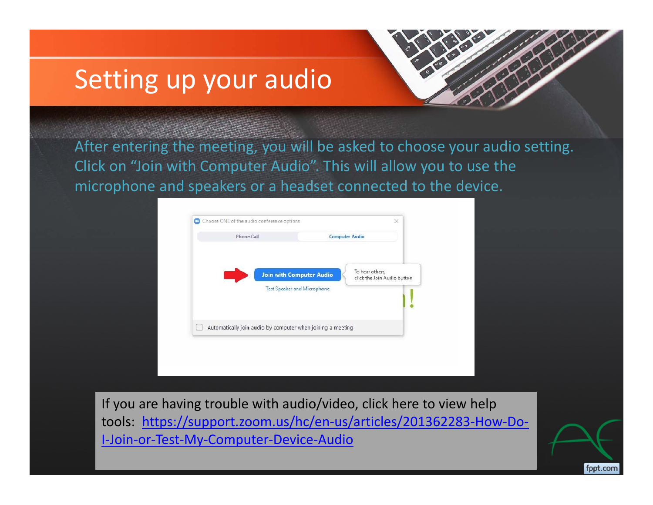## Setting up your audio



fppt.com

After entering the meeting, you will be asked to choose your audio setting. Click on "Join with Computer Audio". This will allow you to use the microphone and speakers or a headset connected to the device.



If you are having trouble with audio/video, click here to view help tools: https://support.zoom.us/hc/en‐us/articles/201362283‐How‐Do‐ I‐Join‐or‐Test‐My‐Computer‐Device‐Audio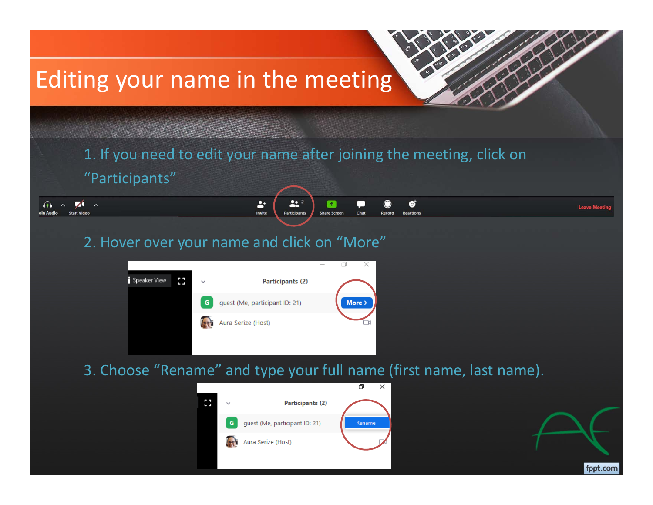## Editing your name in the meeting

1. If you need to edit your name after joining the meeting, click on "Participants"

**Share Screen** 

Chat

**Leave Meeti** 

fppt.com

 $\mathbf{22}^2$ 

Participant

#### 2. Hover over your name and click on "More"

 $\bigcap$ 

 $\lambda$ 

 $\blacktriangledown$ 

**Start Vide** 

 $\sim$ 



 $\mathbf{L}^+$ 

Invite

3. Choose "Rename" and type your full name (first name, last name).

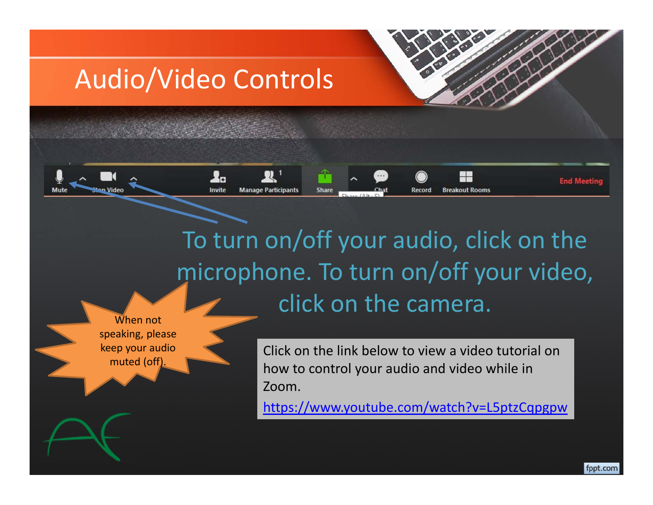## Audio/Video Controls

**L**n

Invite

**Manage Participants** 

Share

To turn on/off your audio, click on the microphone. To turn on/off your video, click on the camera.

When not speaking, please keep your audio muted (off).

Click on the link below to view a video tutorial on how to control your audio and video while in Zoom.

**Breakout Rooms** 

https://www.youtube.com/watch?v=L5ptzCqpgpw

**End Meeting**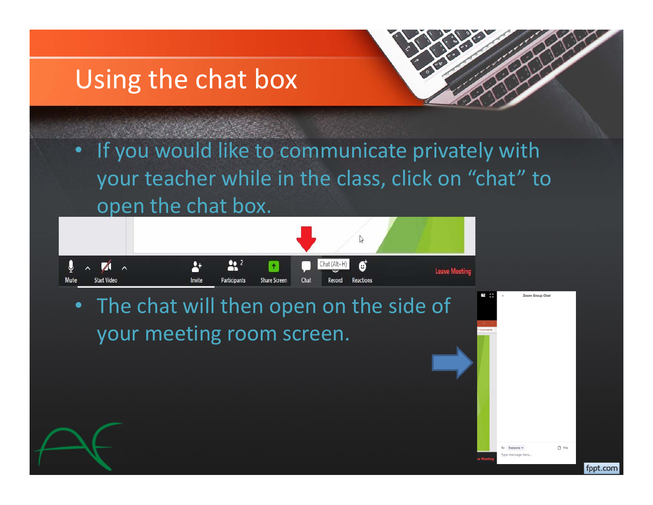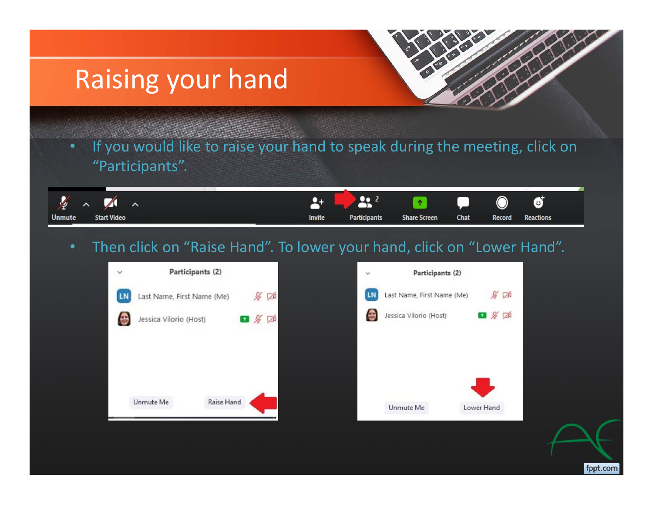## Raising your hand



 If you would like to raise your hand to speak during the meeting, click on "Participants".

| $\frac{1}{2}$ $\sim$ 7              | 2+ l   | $\sqrt{9}$ 2        | $\begin{array}{ c c c c c }\hline \textbf{r} & \textbf{p} & \textbf{0} & \textbf{0} \\\hline \end{array}$ |      |        |                  |  |
|-------------------------------------|--------|---------------------|-----------------------------------------------------------------------------------------------------------|------|--------|------------------|--|
| <b>Unmute</b><br><b>Start Video</b> | Invite | <b>Participants</b> | <b>Share Screen</b>                                                                                       | Chat | Record | <b>Reactions</b> |  |

#### Then click on "Raise Hand". To lower your hand, click on "Lower Hand".

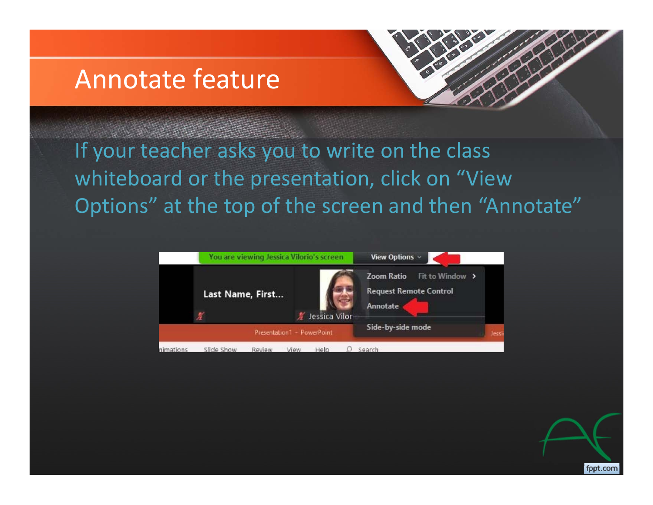### Annotate feature



If your teacher asks you to write on the class whiteboard or the presentation, click on "View Options" at the top of the screen and then "Annotate"



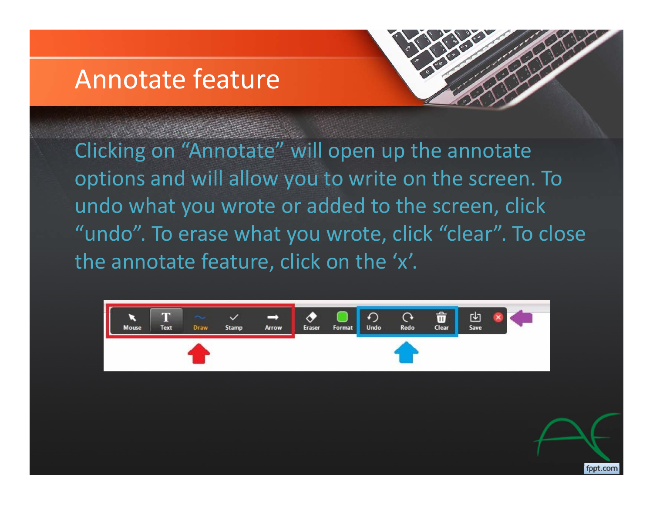### Annotate feature



Clicking on "Annotate" will open up the annotate options and will allow you to write on the screen. To undo what you wrote or added to the screen, click "undo". To erase what you wrote, click "clear". To close the annotate feature, click on the 'x'.

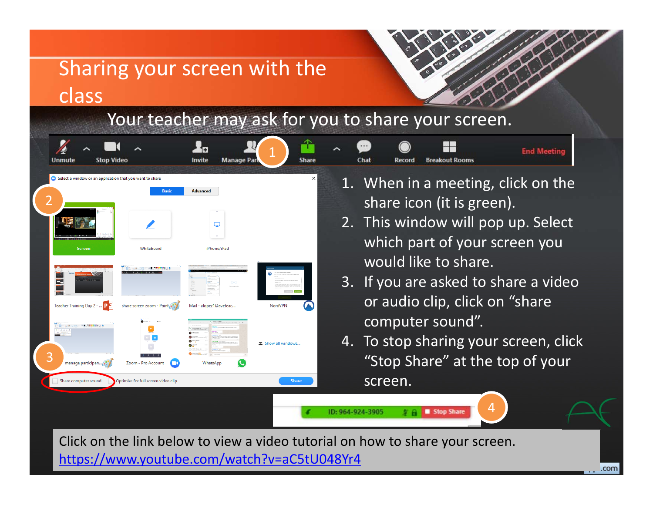#### Sharing your screen with the class

#### Your teacher may ask for you to share your screen.



.com

https://www.youtube.com/watch?v=aC5tU048Yr4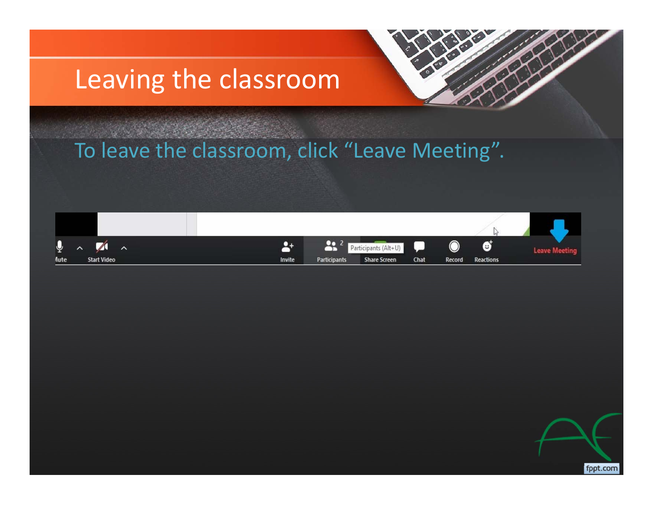## Leaving the classroom



#### To leave the classroom, click "Leave Meeting".